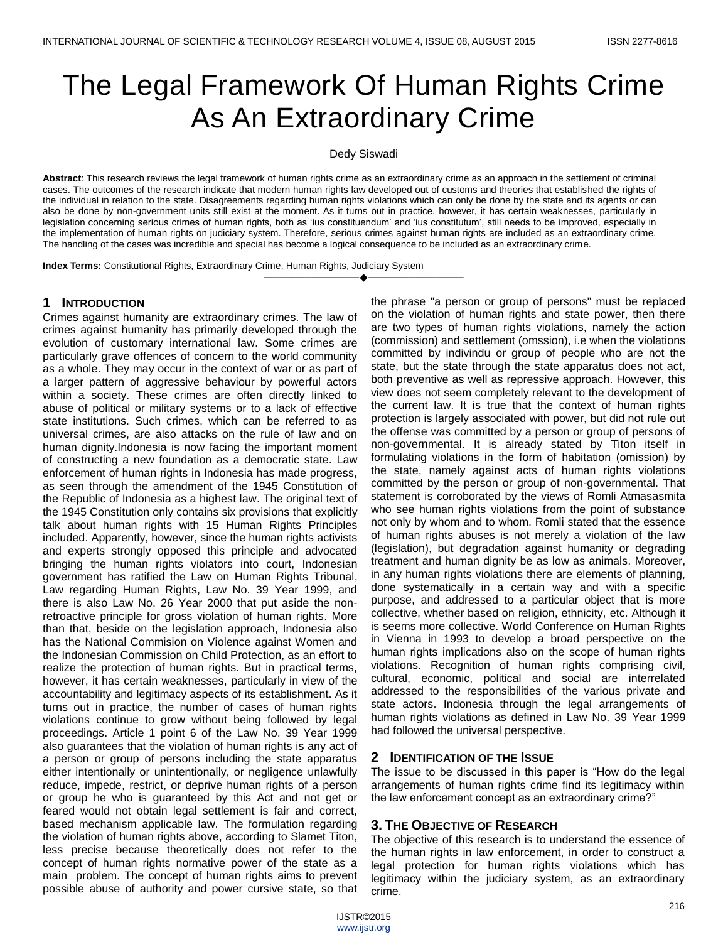# The Legal Framework Of Human Rights Crime As An Extraordinary Crime

Dedy Siswadi

**Abstract**: This research reviews the legal framework of human rights crime as an extraordinary crime as an approach in the settlement of criminal cases. The outcomes of the research indicate that modern human rights law developed out of customs and theories that established the rights of the individual in relation to the state. Disagreements regarding human rights violations which can only be done by the state and its agents or can also be done by non-government units still exist at the moment. As it turns out in practice, however, it has certain weaknesses, particularly in legislation concerning serious crimes of human rights, both as 'ius constituendum' and 'ius constitutum', still needs to be improved, especially in the implementation of human rights on judiciary system. Therefore, serious crimes against human rights are included as an extraordinary crime. The handling of the cases was incredible and special has become a logical consequence to be included as an extraordinary crime.

————————————————————

**Index Terms:** Constitutional Rights, Extraordinary Crime, Human Rights, Judiciary System

## **1 INTRODUCTION**

Crimes against humanity are extraordinary crimes. The law of crimes against humanity has primarily developed through the evolution of customary international law. Some crimes are particularly grave offences of concern to the world community as a whole. They may occur in the context of war or as part of a larger pattern of aggressive behaviour by powerful actors within a society. These crimes are often directly linked to abuse of political or military systems or to a lack of effective state institutions. Such crimes, which can be referred to as universal crimes, are also attacks on the rule of law and on human dignity.Indonesia is now facing the important moment of constructing a new foundation as a democratic state. Law enforcement of human rights in Indonesia has made progress, as seen through the amendment of the 1945 Constitution of the Republic of Indonesia as a highest law. The original text of the 1945 Constitution only contains six provisions that explicitly talk about human rights with 15 Human Rights Principles included. Apparently, however, since the human rights activists and experts strongly opposed this principle and advocated bringing the human rights violators into court, Indonesian government has ratified the Law on Human Rights Tribunal, Law regarding Human Rights, Law No. 39 Year 1999, and there is also Law No. 26 Year 2000 that put aside the nonretroactive principle for gross violation of human rights. More than that, beside on the legislation approach, Indonesia also has the National Commision on Violence against Women and the Indonesian Commission on Child Protection, as an effort to realize the protection of human rights. But in practical terms, however, it has certain weaknesses, particularly in view of the accountability and legitimacy aspects of its establishment. As it turns out in practice, the number of cases of human rights violations continue to grow without being followed by legal proceedings. Article 1 point 6 of the Law No. 39 Year 1999 also guarantees that the violation of human rights is any act of a person or group of persons including the state apparatus either intentionally or unintentionally, or negligence unlawfully reduce, impede, restrict, or deprive human rights of a person or group he who is guaranteed by this Act and not get or feared would not obtain legal settlement is fair and correct, based mechanism applicable law. The formulation regarding the violation of human rights above, according to Slamet Titon, less precise because theoretically does not refer to the concept of human rights normative power of the state as a main problem. The concept of human rights aims to prevent possible abuse of authority and power cursive state, so that

the phrase "a person or group of persons" must be replaced on the violation of human rights and state power, then there are two types of human rights violations, namely the action (commission) and settlement (omssion), i.e when the violations committed by indivindu or group of people who are not the state, but the state through the state apparatus does not act, both preventive as well as repressive approach. However, this view does not seem completely relevant to the development of the current law. It is true that the context of human rights protection is largely associated with power, but did not rule out the offense was committed by a person or group of persons of non-governmental. It is already stated by Titon itself in formulating violations in the form of habitation (omission) by the state, namely against acts of human rights violations committed by the person or group of non-governmental. That statement is corroborated by the views of Romli Atmasasmita who see human rights violations from the point of substance not only by whom and to whom. Romli stated that the essence of human rights abuses is not merely a violation of the law (legislation), but degradation against humanity or degrading treatment and human dignity be as low as animals. Moreover, in any human rights violations there are elements of planning, done systematically in a certain way and with a specific purpose, and addressed to a particular object that is more collective, whether based on religion, ethnicity, etc. Although it is seems more collective. World Conference on Human Rights in Vienna in 1993 to develop a broad perspective on the human rights implications also on the scope of human rights violations. Recognition of human rights comprising civil, cultural, economic, political and social are interrelated addressed to the responsibilities of the various private and state actors. Indonesia through the legal arrangements of human rights violations as defined in Law No. 39 Year 1999 had followed the universal perspective.

#### **2 IDENTIFICATION OF THE ISSUE**

The issue to be discussed in this paper is "How do the legal arrangements of human rights crime find its legitimacy within the law enforcement concept as an extraordinary crime?"

## **3. THE OBJECTIVE OF RESEARCH**

The objective of this research is to understand the essence of the human rights in law enforcement, in order to construct a legal protection for human rights violations which has legitimacy within the judiciary system, as an extraordinary crime.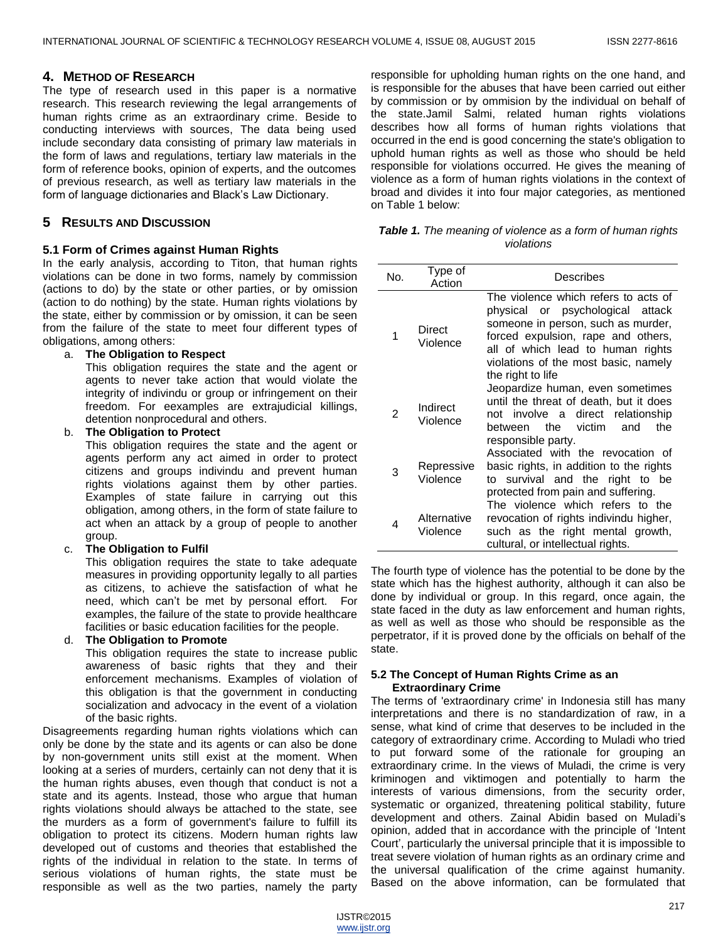## **4. METHOD OF RESEARCH**

The type of research used in this paper is a normative research. This research reviewing the legal arrangements of human rights crime as an extraordinary crime. Beside to conducting interviews with sources, The data being used include secondary data consisting of primary law materials in the form of laws and regulations, tertiary law materials in the form of reference books, opinion of experts, and the outcomes of previous research, as well as tertiary law materials in the form of language dictionaries and Black"s Law Dictionary.

## **5 RESULTS AND DISCUSSION**

#### **5.1 Form of Crimes against Human Rights**

In the early analysis, according to Titon, that human rights violations can be done in two forms, namely by commission (actions to do) by the state or other parties, or by omission (action to do nothing) by the state. Human rights violations by the state, either by commission or by omission, it can be seen from the failure of the state to meet four different types of obligations, among others:

#### a. **The Obligation to Respect**

This obligation requires the state and the agent or agents to never take action that would violate the integrity of indivindu or group or infringement on their freedom. For eexamples are extrajudicial killings, detention nonprocedural and others.

#### b. **The Obligation to Protect**

This obligation requires the state and the agent or agents perform any act aimed in order to protect citizens and groups indivindu and prevent human rights violations against them by other parties. Examples of state failure in carrying out this obligation, among others, in the form of state failure to act when an attack by a group of people to another group.

#### c. **The Obligation to Fulfil**

This obligation requires the state to take adequate measures in providing opportunity legally to all parties as citizens, to achieve the satisfaction of what he need, which can"t be met by personal effort. For examples, the failure of the state to provide healthcare facilities or basic education facilities for the people.

#### d. **The Obligation to Promote**

This obligation requires the state to increase public awareness of basic rights that they and their enforcement mechanisms. Examples of violation of this obligation is that the government in conducting socialization and advocacy in the event of a violation of the basic rights.

Disagreements regarding human rights violations which can only be done by the state and its agents or can also be done by non-government units still exist at the moment. When looking at a series of murders, certainly can not deny that it is the human rights abuses, even though that conduct is not a state and its agents. Instead, those who argue that human rights violations should always be attached to the state, see the murders as a form of government's failure to fulfill its obligation to protect its citizens. Modern human rights law developed out of customs and theories that established the rights of the individual in relation to the state. In terms of serious violations of human rights, the state must be responsible as well as the two parties, namely the party

responsible for upholding human rights on the one hand, and is responsible for the abuses that have been carried out either by commission or by ommision by the individual on behalf of the state.Jamil Salmi, related human rights violations describes how all forms of human rights violations that occurred in the end is good concerning the state's obligation to uphold human rights as well as those who should be held responsible for violations occurred. He gives the meaning of violence as a form of human rights violations in the context of broad and divides it into four major categories, as mentioned on Table 1 below:

*Table 1. The meaning of violence as a form of human rights violations*

| No. | Type of<br>Action       | Describes                                                                                                                                                                                                                                              |
|-----|-------------------------|--------------------------------------------------------------------------------------------------------------------------------------------------------------------------------------------------------------------------------------------------------|
| 1   | Direct<br>Violence      | The violence which refers to acts of<br>physical or psychological attack<br>someone in person, such as murder,<br>forced expulsion, rape and others,<br>all of which lead to human rights<br>violations of the most basic, namely<br>the right to life |
| 2   | Indirect<br>Violence    | Jeopardize human, even sometimes<br>until the threat of death, but it does<br>not involve a direct relationship<br>victim<br>between the<br>and<br>the<br>responsible party.                                                                           |
| 3   | Repressive<br>Violence  | Associated with the revocation of<br>basic rights, in addition to the rights<br>to survival and the right to be<br>protected from pain and suffering.<br>The violence which refers to the                                                              |
| 4   | Alternative<br>Violence | revocation of rights indivindu higher,<br>such as the right mental growth,<br>cultural, or intellectual rights.                                                                                                                                        |

The fourth type of violence has the potential to be done by the state which has the highest authority, although it can also be done by individual or group. In this regard, once again, the state faced in the duty as law enforcement and human rights, as well as well as those who should be responsible as the perpetrator, if it is proved done by the officials on behalf of the state.

#### **5.2 The Concept of Human Rights Crime as an Extraordinary Crime**

The terms of 'extraordinary crime' in Indonesia still has many interpretations and there is no standardization of raw, in a sense, what kind of crime that deserves to be included in the category of extraordinary crime. According to Muladi who tried to put forward some of the rationale for grouping an extraordinary crime. In the views of Muladi, the crime is very kriminogen and viktimogen and potentially to harm the interests of various dimensions, from the security order, systematic or organized, threatening political stability, future development and others. Zainal Abidin based on Muladi"s opinion, added that in accordance with the principle of "Intent Court", particularly the universal principle that it is impossible to treat severe violation of human rights as an ordinary crime and the universal qualification of the crime against humanity. Based on the above information, can be formulated that